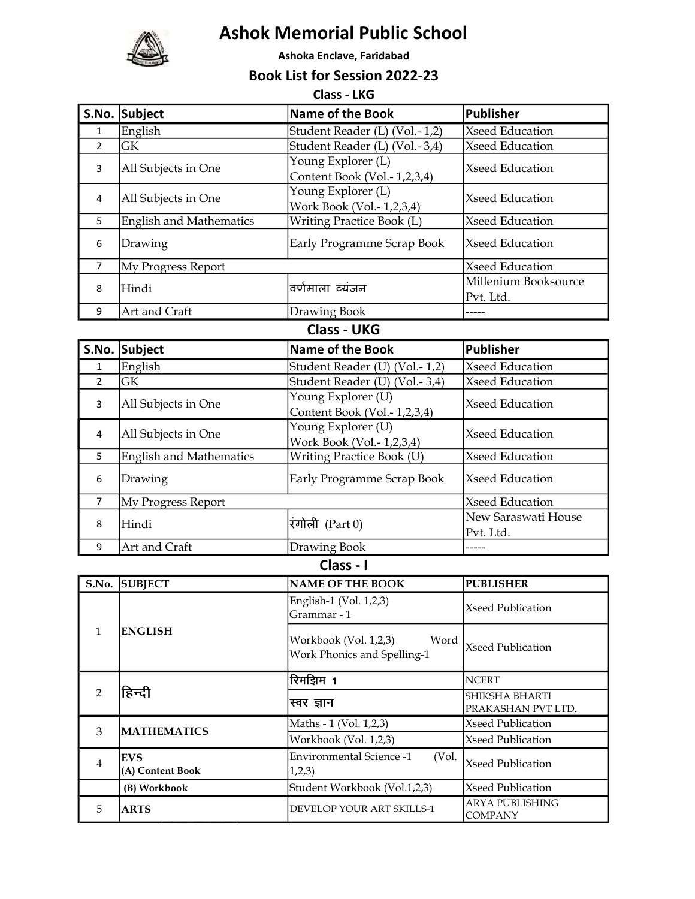

4

2

EVS

हिन्दी

(A) Content Book

3 MATHEMATICS

## Ashok Memorial Public School

Ashoka Enclave, Faridabad

Book List for Session 2022-23

 $C$ 

|                | Class - LKG                    |                                                              |                        |  |
|----------------|--------------------------------|--------------------------------------------------------------|------------------------|--|
|                | S.No. Subject                  | Name of the Book                                             | <b>Publisher</b>       |  |
| $\mathbf{1}$   | English                        | Student Reader (L) (Vol.-1,2)                                | <b>Xseed Education</b> |  |
| $\overline{2}$ | GK                             | Student Reader (L) (Vol.-3,4)                                | Xseed Education        |  |
| 3              | All Subjects in One            | Young Explorer (L)                                           | Xseed Education        |  |
|                |                                | Content Book (Vol.-1,2,3,4)                                  |                        |  |
| 4              | All Subjects in One            | Young Explorer (L)                                           | Xseed Education        |  |
|                |                                | Work Book (Vol.-1,2,3,4)                                     |                        |  |
| 5              | <b>English and Mathematics</b> | <b>Writing Practice Book (L)</b>                             | Xseed Education        |  |
| 6              | Drawing                        | Early Programme Scrap Book                                   | Xseed Education        |  |
| 7              | My Progress Report             |                                                              | Xseed Education        |  |
|                |                                | वर्णमाला व्यंजन                                              | Millenium Booksource   |  |
| 8              | Hindi                          |                                                              | Pvt. Ltd.              |  |
| 9              | Art and Craft                  | Drawing Book                                                 |                        |  |
|                |                                | <b>Class - UKG</b>                                           |                        |  |
|                | S.No. Subject                  | <b>Name of the Book</b>                                      | <b>Publisher</b>       |  |
| $\mathbf{1}$   | English                        | Student Reader (U) (Vol.-1,2)                                | <b>Xseed Education</b> |  |
| $\overline{2}$ | <b>GK</b>                      | Student Reader (U) (Vol.-3,4)                                | Xseed Education        |  |
| 3              |                                | Young Explorer (U)                                           | Xseed Education        |  |
|                | All Subjects in One            | Content Book (Vol.-1,2,3,4)                                  |                        |  |
|                |                                | Young Explorer (U)                                           | Xseed Education        |  |
| 4              | All Subjects in One            | Work Book (Vol.-1,2,3,4)                                     |                        |  |
| 5              | <b>English and Mathematics</b> | Writing Practice Book (U)                                    | Xseed Education        |  |
| 6              | Drawing                        | Early Programme Scrap Book                                   | Xseed Education        |  |
| 7              | My Progress Report             |                                                              | Xseed Education        |  |
|                | Hindi                          | रंगोली (Part 0)                                              | New Saraswati House    |  |
| 8              |                                |                                                              | Pvt. Ltd.              |  |
| 9              | Art and Craft                  | Drawing Book                                                 |                        |  |
|                |                                | Class - I                                                    |                        |  |
| S.No.          | <b>SUBJECT</b>                 | <b>NAME OF THE BOOK</b>                                      | <b>PUBLISHER</b>       |  |
|                |                                | English-1 (Vol. 1,2,3)<br>Grammar - 1                        | Xseed Publication      |  |
|                |                                |                                                              |                        |  |
| $\mathbf{1}$   | <b>ENGLISH</b>                 | Workbook (Vol. 1,2,3)<br>Word<br>Work Phonics and Spelling-1 | Xseed Publication      |  |

**NCERT** 

**COMPANY** 

Maths - 1 (Vol. 1,2,3) Xseed Publication Workbook (Vol. 1,2,3) Xseed Publication

Environmental Science -1 (vol. | Xseed Publication 1,2,3)

Environmental Science -1 (Vol.

(B) Workbook Student Workbook (Vol.1,2,3) Xseed Publication 5 ARTS DEVELOP YOUR ART SKILLS-1 ARYA PUBLISHING

रिमझिम 1

स्वर ज्ञान

SHIKSHA BHARTI PRAKASHAN PVT LTD.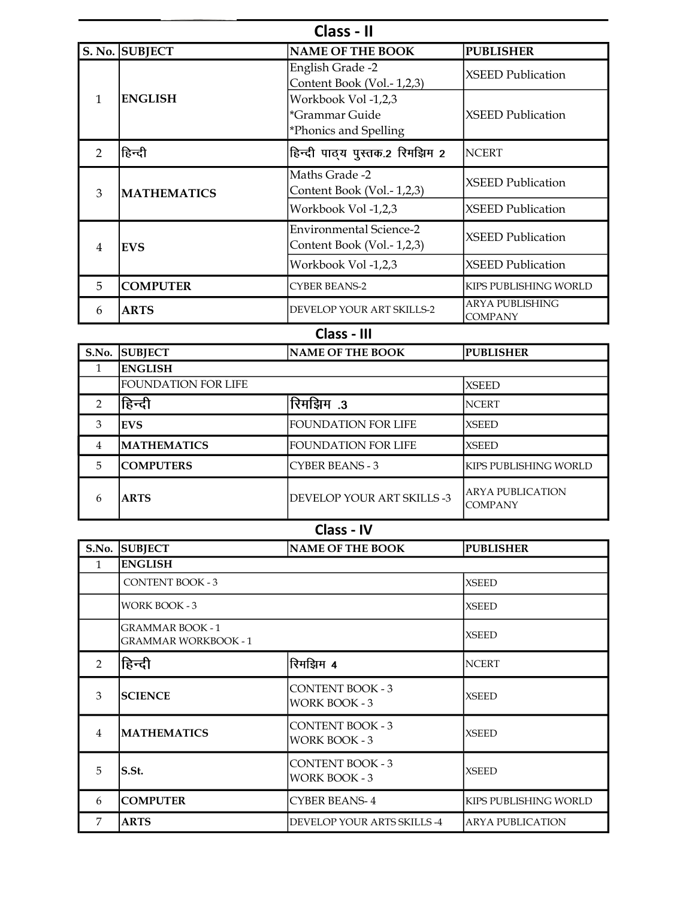| Class - II    |                    |                                                                |                                   |
|---------------|--------------------|----------------------------------------------------------------|-----------------------------------|
|               | S. No. SUBJECT     | <b>NAME OF THE BOOK</b>                                        | <b>PUBLISHER</b>                  |
|               |                    | English Grade -2<br>Content Book (Vol.-1,2,3)                  | <b>XSEED Publication</b>          |
| 1             | <b>ENGLISH</b>     | Workbook Vol -1,2,3<br>*Grammar Guide<br>*Phonics and Spelling | <b>XSEED Publication</b>          |
| $\mathcal{P}$ | हिन्दी             | हिन्दी पाठ्य पुस्तक.2 रिमझिम 2                                 | <b>NCERT</b>                      |
| 3             | <b>MATHEMATICS</b> | Maths Grade -2<br>Content Book (Vol.-1,2,3)                    | <b>XSEED Publication</b>          |
|               |                    | Workbook Vol -1,2,3                                            | <b>XSEED Publication</b>          |
| 4             | <b>EVS</b>         | <b>Environmental Science-2</b><br>Content Book (Vol.-1,2,3)    | <b>XSEED Publication</b>          |
|               |                    | Workbook Vol -1,2,3                                            | XSEED Publication                 |
| 5             | <b>COMPUTER</b>    | <b>CYBER BEANS-2</b>                                           | KIPS PUBLISHING WORLD             |
| 6             | <b>ARTS</b>        | DEVELOP YOUR ART SKILLS-2                                      | ARYA PUBLISHING<br><b>COMPANY</b> |

## Class - III

| S.No. | <b>SUBJECT</b>             | <b>NAME OF THE BOOK</b>    | <b>PUBLISHER</b>                    |
|-------|----------------------------|----------------------------|-------------------------------------|
|       | <b>ENGLISH</b>             |                            |                                     |
|       | <b>FOUNDATION FOR LIFE</b> |                            | <b>XSEED</b>                        |
| っ     | हिन्दी                     | रिमझिम.3                   | <b>NCERT</b>                        |
| 3     | <b>EVS</b>                 | <b>FOUNDATION FOR LIFE</b> | <b>XSEED</b>                        |
| 4     | <b>MATHEMATICS</b>         | <b>FOUNDATION FOR LIFE</b> | <b>XSEED</b>                        |
| 5     | <b>ICOMPUTERS</b>          | <b>CYBER BEANS - 3</b>     | IKIPS PUBLISHING WORLD              |
| 6     | <b>ARTS</b>                | DEVELOP YOUR ART SKILLS -3 | IARYA PUBLICATION<br><b>COMPANY</b> |

Class - IV

|                | S.No. SUBJECT                                          | NAME OF THE BOOK                                | <b>PUBLISHER</b>        |
|----------------|--------------------------------------------------------|-------------------------------------------------|-------------------------|
|                | <b>ENGLISH</b>                                         |                                                 |                         |
|                | <b>CONTENT BOOK - 3</b>                                |                                                 | <b>XSEED</b>            |
|                | <b>WORK BOOK - 3</b>                                   |                                                 | <b>XSEED</b>            |
|                | <b>GRAMMAR BOOK - 1</b><br><b>GRAMMAR WORKBOOK - 1</b> |                                                 | <b>XSEED</b>            |
| $\mathcal{P}$  | हिन्दी                                                 | रिमझिम 4                                        | <b>NCERT</b>            |
| 3              | <b>SCIENCE</b>                                         | <b>CONTENT BOOK - 3</b><br><b>WORK BOOK - 3</b> | <b>XSEED</b>            |
| $\overline{4}$ | <b>MATHEMATICS</b>                                     | <b>CONTENT BOOK - 3</b><br>WORK BOOK - 3        | <b>XSEED</b>            |
| 5              | lS.St.                                                 | <b>CONTENT BOOK - 3</b><br><b>WORK BOOK - 3</b> | <b>XSEED</b>            |
| 6              | <b>COMPUTER</b>                                        | CYBER BEANS-4                                   | KIPS PUBLISHING WORLD   |
| 7              | <b>ARTS</b>                                            | DEVELOP YOUR ARTS SKILLS -4                     | <b>ARYA PUBLICATION</b> |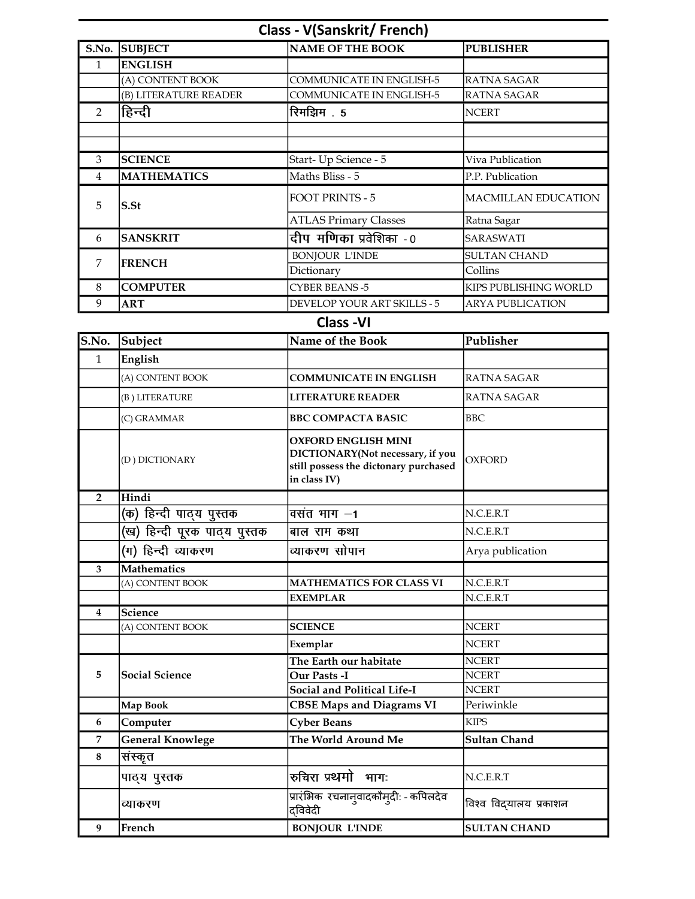|                | <b>Class - V(Sanskrit/French)</b>    |                                                                                                                         |                            |  |  |
|----------------|--------------------------------------|-------------------------------------------------------------------------------------------------------------------------|----------------------------|--|--|
|                | S.No. SUBJECT                        | <b>NAME OF THE BOOK</b>                                                                                                 | <b>PUBLISHER</b>           |  |  |
| $\mathbf{1}$   | <b>ENGLISH</b>                       |                                                                                                                         |                            |  |  |
|                | (A) CONTENT BOOK                     | <b>COMMUNICATE IN ENGLISH-5</b>                                                                                         | RATNA SAGAR                |  |  |
|                | (B) LITERATURE READER                | COMMUNICATE IN ENGLISH-5                                                                                                | RATNA SAGAR                |  |  |
| $\overline{2}$ | हिन्दी                               | रिमझिम . 5                                                                                                              | <b>NCERT</b>               |  |  |
|                |                                      |                                                                                                                         |                            |  |  |
|                |                                      |                                                                                                                         |                            |  |  |
| 3              | <b>SCIENCE</b>                       | Start-Up Science - 5                                                                                                    | Viva Publication           |  |  |
| $\overline{4}$ | <b>MATHEMATICS</b>                   | Maths Bliss - 5                                                                                                         | P.P. Publication           |  |  |
| 5              | $S.$ St                              | <b>FOOT PRINTS - 5</b>                                                                                                  | <b>MACMILLAN EDUCATION</b> |  |  |
|                |                                      | <b>ATLAS Primary Classes</b>                                                                                            | Ratna Sagar                |  |  |
| 6              | <b>SANSKRIT</b>                      | <u>द</u> ीप मणिका प्रवेशिका -0                                                                                          | SARASWATI                  |  |  |
|                |                                      | <b>BONJOUR L'INDE</b>                                                                                                   | <b>SULTAN CHAND</b>        |  |  |
| 7              | <b>FRENCH</b>                        | Dictionary                                                                                                              | Collins                    |  |  |
| 8              | <b>COMPUTER</b>                      | <b>CYBER BEANS -5</b>                                                                                                   | KIPS PUBLISHING WORLD      |  |  |
| 9              | <b>ART</b>                           | DEVELOP YOUR ART SKILLS - 5                                                                                             | <b>ARYA PUBLICATION</b>    |  |  |
|                |                                      | <b>Class -VI</b>                                                                                                        |                            |  |  |
| S.No.          | Subject                              | Name of the Book                                                                                                        | Publisher                  |  |  |
| $\mathbf{1}$   | English                              |                                                                                                                         |                            |  |  |
|                | (A) CONTENT BOOK                     | <b>COMMUNICATE IN ENGLISH</b>                                                                                           | <b>RATNA SAGAR</b>         |  |  |
|                |                                      |                                                                                                                         |                            |  |  |
|                | (B) LITERATURE                       | <b>LITERATURE READER</b>                                                                                                | <b>RATNA SAGAR</b>         |  |  |
|                | (C) GRAMMAR                          | <b>BBC COMPACTA BASIC</b>                                                                                               | <b>BBC</b>                 |  |  |
|                | (D) DICTIONARY                       | <b>OXFORD ENGLISH MINI</b><br>DICTIONARY(Not necessary, if you<br>still possess the dictonary purchased<br>in class IV) | <b>OXFORD</b>              |  |  |
| $\overline{2}$ | Hindi                                |                                                                                                                         |                            |  |  |
|                | (क) हिन्दी पाठ्य पुस्तक              | वसंत भाग –1                                                                                                             | N.C.E.R.T                  |  |  |
|                | (ख) हिन्दी पूरक पाठ् <b>य पुस्तक</b> | बाल राम कथा                                                                                                             | N.C.E.R.T                  |  |  |
|                | (ग) हिन्दी व्याकरण                   | व्याकरण सोपान                                                                                                           | Arya publication           |  |  |
| $\mathbf{3}$   | <b>Mathematics</b>                   |                                                                                                                         |                            |  |  |
|                | (A) CONTENT BOOK                     | <b>MATHEMATICS FOR CLASS VI</b>                                                                                         | N.C.E.R.T                  |  |  |
|                |                                      | <b>EXEMPLAR</b>                                                                                                         | N.C.E.R.T                  |  |  |
| 4              | Science                              |                                                                                                                         |                            |  |  |
|                | (A) CONTENT BOOK                     | <b>SCIENCE</b>                                                                                                          | <b>NCERT</b>               |  |  |
|                |                                      | Exemplar                                                                                                                | <b>NCERT</b>               |  |  |
|                |                                      | The Earth our habitate                                                                                                  | <b>NCERT</b>               |  |  |
| 5              | <b>Social Science</b>                | Our Pasts -I                                                                                                            | <b>NCERT</b>               |  |  |
|                |                                      | Social and Political Life-I                                                                                             | <b>NCERT</b>               |  |  |
|                | Map Book                             | <b>CBSE Maps and Diagrams VI</b>                                                                                        | Periwinkle                 |  |  |
| 6              | Computer                             | <b>Cyber Beans</b>                                                                                                      | <b>KIPS</b>                |  |  |
| 7              | <b>General Knowlege</b>              | The World Around Me                                                                                                     | <b>Sultan Chand</b>        |  |  |
| 8              | संस्कृत                              |                                                                                                                         |                            |  |  |
|                | पाठ्य पुस्तक                         | रुचिरा प्रथमो भागः                                                                                                      | N.C.E.R.T                  |  |  |
|                | व्याकरण                              | प्रारंभिक रचनानुवादकौमुदी: - कपिलदेव<br>दविवेदी                                                                         | विश्व विद्यालय प्रकाशन     |  |  |
| 9              | French                               | <b>BONJOUR L'INDE</b>                                                                                                   | <b>SULTAN CHAND</b>        |  |  |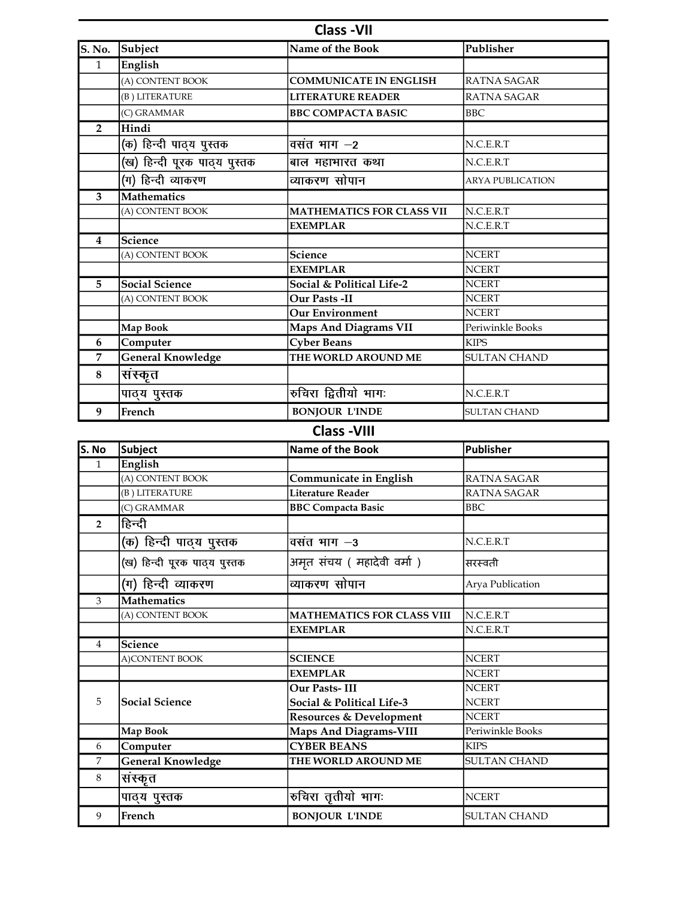| <b>Class-VII</b>   |                              |                                  |                         |
|--------------------|------------------------------|----------------------------------|-------------------------|
| <b>S. No.</b>      | Subject                      | Name of the Book                 | Publisher               |
| $\mathbf{1}$       | English                      |                                  |                         |
|                    | (A) CONTENT BOOK             | <b>COMMUNICATE IN ENGLISH</b>    | RATNA SAGAR             |
|                    | (B) LITERATURE               | <b>LITERATURE READER</b>         | <b>RATNA SAGAR</b>      |
|                    | (C) GRAMMAR                  | <b>BBC COMPACTA BASIC</b>        | <b>BBC</b>              |
| $\overline{2}$     | Hindi                        |                                  |                         |
|                    | (क) हिन्दी पाठ्य पुस्तक      | वसंत भाग $-2$                    | N.C.E.R.T               |
|                    | (ख) हिन्दी पूरक पाठ्य पुस्तक | बाल महाभारत कथा                  | N.C.E.R.T               |
|                    | (ग) हिन्दी व्याकरण           | व्याकरण सोपान                    | <b>ARYA PUBLICATION</b> |
| 3                  | Mathematics                  |                                  |                         |
|                    | (A) CONTENT BOOK             | <b>MATHEMATICS FOR CLASS VII</b> | N.C.F.R.T               |
|                    |                              | <b>EXEMPLAR</b>                  | N.C.E.R.T               |
| 4                  | Science                      |                                  |                         |
|                    | (A) CONTENT BOOK             | <b>Science</b>                   | <b>NCERT</b>            |
|                    |                              | <b>EXEMPLAR</b>                  | <b>NCERT</b>            |
| 5                  | <b>Social Science</b>        | Social & Political Life-2        | <b>NCERT</b>            |
|                    | (A) CONTENT BOOK             | Our Pasts -II                    | <b>NCERT</b>            |
|                    |                              | <b>Our Environment</b>           | <b>NCERT</b>            |
|                    | Map Book                     | <b>Maps And Diagrams VII</b>     | Periwinkle Books        |
| 6                  | Computer                     | <b>Cyber Beans</b>               | <b>KIPS</b>             |
| 7                  | <b>General Knowledge</b>     | THE WORLD AROUND ME              | <b>SULTAN CHAND</b>     |
| 8                  | संस्कृत                      |                                  |                         |
|                    | पाठ्य पुस्तक                 | रुचिरा द्वितीयो भागः             | N.C.E.R.T               |
| 9                  | French                       | <b>BONJOUR L'INDE</b>            | <b>SULTAN CHAND</b>     |
| <b>Class -VIII</b> |                              |                                  |                         |

| S. No          | Subject                      | Name of the Book                   | Publisher           |
|----------------|------------------------------|------------------------------------|---------------------|
| $\mathbf{1}$   | English                      |                                    |                     |
|                | (A) CONTENT BOOK             | Communicate in English             | <b>RATNA SAGAR</b>  |
|                | (B) LITERATURE               | Literature Reader                  | <b>RATNA SAGAR</b>  |
|                | (C) GRAMMAR                  | <b>BBC Compacta Basic</b>          | <b>BBC</b>          |
| $\overline{2}$ | हिन्दी                       |                                    |                     |
|                | (क) हिन्दी पाठ्य पुस्तक      | वसंत भाग $-3$                      | N.C.E.R.T           |
|                | (ख) हिन्दी पूरक पाठ्य पुस्तक | अमृत संचय ( महादेवी वर्मा )        | सरस्वती             |
|                | (ग) हिन्दी व्याकरण           | व्याकरण सोपान                      | Arya Publication    |
| 3              | <b>Mathematics</b>           |                                    |                     |
|                | (A) CONTENT BOOK             | <b>MATHEMATICS FOR CLASS VIII</b>  | N.C.E.R.T           |
|                |                              | <b>EXEMPLAR</b>                    | N.C.E.R.T           |
| 4              | Science                      |                                    |                     |
|                | A)CONTENT BOOK               | <b>SCIENCE</b>                     | <b>NCERT</b>        |
|                |                              | <b>EXEMPLAR</b>                    | <b>NCERT</b>        |
|                |                              | Our Pasts-III                      | <b>NCERT</b>        |
| 5              | <b>Social Science</b>        | Social & Political Life-3          | <b>NCERT</b>        |
|                |                              | <b>Resources &amp; Development</b> | <b>NCERT</b>        |
|                | Map Book                     | <b>Maps And Diagrams-VIII</b>      | Periwinkle Books    |
| 6              | Computer                     | <b>CYBER BEANS</b>                 | <b>KIPS</b>         |
| 7              | <b>General Knowledge</b>     | THE WORLD AROUND ME                | <b>SULTAN CHAND</b> |
| $\,8\,$        | संस्कृत                      |                                    |                     |
|                | पाठ्य पुस्तक                 | रुचिरा तृतीयो भागः                 | <b>NCERT</b>        |
| 9              | French                       | <b>BONJOUR L'INDE</b>              | <b>SULTAN CHAND</b> |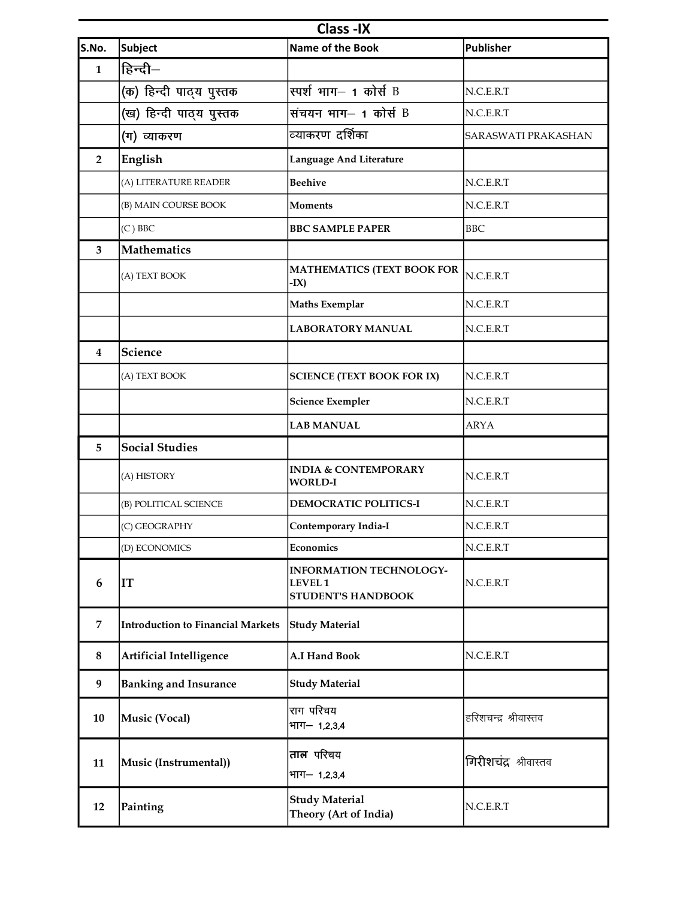| <b>Class-IX</b>         |                                   |                                                                        |                       |
|-------------------------|-----------------------------------|------------------------------------------------------------------------|-----------------------|
| S.No.                   | <b>Subject</b>                    | Name of the Book                                                       | <b>Publisher</b>      |
| $\mathbf{1}$            | हिन्दी–                           |                                                                        |                       |
|                         | (क) हिन्दी पाठ्य पुस्तक           | स्पर्श भाग- 1 कोर्स B                                                  | N.C.E.R.T             |
|                         | (ख) हिन्दी पाठ्य पुस्तक           | संचयन भाग– 1 कोर्स B                                                   | N.C.E.R.T             |
|                         | (ग) व्याकरण                       | व्याकरण दर्शिका                                                        | SARASWATI PRAKASHAN   |
| $\overline{2}$          | English                           | <b>Language And Literature</b>                                         |                       |
|                         | (A) LITERATURE READER             | <b>Beehive</b>                                                         | N.C.E.R.T             |
|                         | (B) MAIN COURSE BOOK              | Moments                                                                | N.C.E.R.T             |
|                         | $(C)$ BBC                         | <b>BBC SAMPLE PAPER</b>                                                | BBC                   |
| 3                       | Mathematics                       |                                                                        |                       |
|                         | (A) TEXT BOOK                     | <b>MATHEMATICS (TEXT BOOK FOR</b><br>$-IX)$                            | N.C.E.R.T             |
|                         |                                   | <b>Maths Exemplar</b>                                                  | N.C.E.R.T             |
|                         |                                   | <b>LABORATORY MANUAL</b>                                               | N.C.E.R.T             |
| $\overline{\mathbf{4}}$ | <b>Science</b>                    |                                                                        |                       |
|                         | (A) TEXT BOOK                     | <b>SCIENCE (TEXT BOOK FOR IX)</b>                                      | N.C.E.R.T             |
|                         |                                   | <b>Science Exempler</b>                                                | N.C.E.R.T             |
|                         |                                   | <b>LAB MANUAL</b>                                                      | <b>ARYA</b>           |
| 5                       | <b>Social Studies</b>             |                                                                        |                       |
|                         | (A) HISTORY                       | <b>INDIA &amp; CONTEMPORARY</b><br><b>WORLD-I</b>                      | N.C.E.R.T             |
|                         | (B) POLITICAL SCIENCE             | DEMOCRATIC POLITICS-I                                                  | N.C.E.R.T             |
|                         | (C) GEOGRAPHY                     | Contemporary India-I                                                   | N.C.E.R.T             |
|                         | (D) ECONOMICS                     | Economics                                                              | N.C.E.R.T             |
| 6                       | IT                                | <b>INFORMATION TECHNOLOGY-</b><br>LEVEL 1<br><b>STUDENT'S HANDBOOK</b> | N.C.E.R.T             |
| 7                       | Introduction to Financial Markets | <b>Study Material</b>                                                  |                       |
| 8                       | <b>Artificial Intelligence</b>    | A.I Hand Book                                                          | N.C.E.R.T             |
| 9                       | <b>Banking and Insurance</b>      | <b>Study Material</b>                                                  |                       |
| 10                      | Music (Vocal)                     | राग परिचय<br>भाग- 1,2,3,4                                              | हरिशचन्द्र श्रीवास्तव |
| 11                      | Music (Instrumental))             | ताल परिचय<br>भाग- 1,2,3,4                                              | गिरीशचंद्र श्रीवास्तव |
| 12                      | Painting                          | <b>Study Material</b><br>Theory (Art of India)                         | N.C.E.R.T             |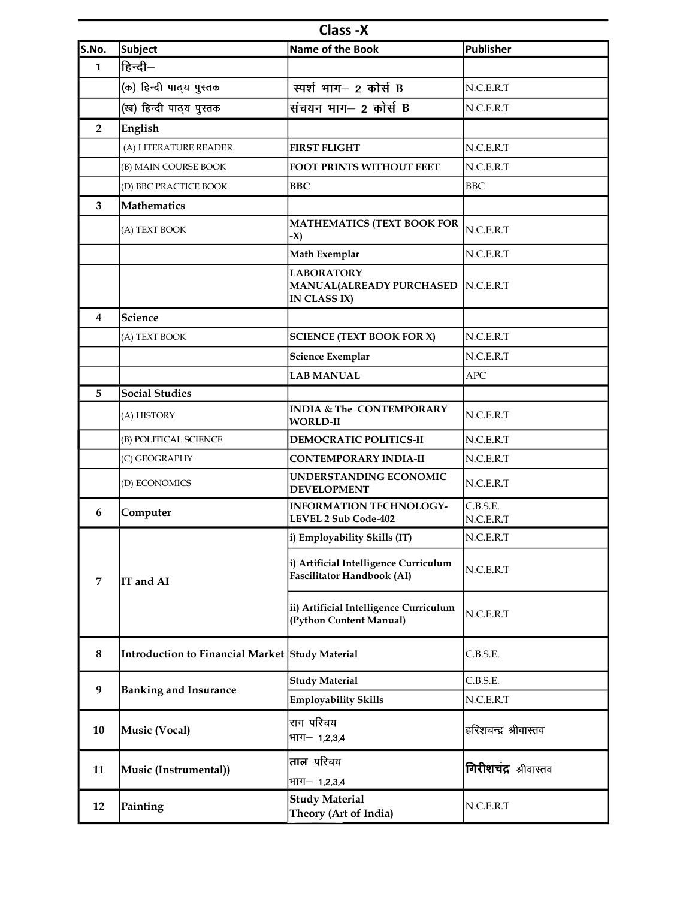| Class -X       |                                                 |                                                                           |                       |
|----------------|-------------------------------------------------|---------------------------------------------------------------------------|-----------------------|
| S.No.          | Subject                                         | Name of the Book                                                          | <b>Publisher</b>      |
| $\mathbf{1}$   | हिन्दी–                                         |                                                                           |                       |
|                | (क) हिन्दी पाठ्य पुस्तक                         | स्पर्श भाग- 2 कोर्स B                                                     | N.C.E.R.T             |
|                | (ख) हिन्दी पाठ्य पुस्तक                         | संचयन भाग– 2 कोर्स B                                                      | N.C.E.R.T             |
| $\overline{2}$ | English                                         |                                                                           |                       |
|                | (A) LITERATURE READER                           | <b>FIRST FLIGHT</b>                                                       | N.C.E.R.T             |
|                | (B) MAIN COURSE BOOK                            | FOOT PRINTS WITHOUT FEET                                                  | N.C.E.R.T             |
|                | (D) BBC PRACTICE BOOK                           | <b>BBC</b>                                                                | <b>BBC</b>            |
| 3              | <b>Mathematics</b>                              |                                                                           |                       |
|                | (A) TEXT BOOK                                   | <b>MATHEMATICS (TEXT BOOK FOR</b><br>-X)                                  | N.C.E.R.T             |
|                |                                                 | Math Exemplar                                                             | N.C.E.R.T             |
|                |                                                 | <b>LABORATORY</b><br>MANUAL(ALREADY PURCHASED   N.C.E.R.T<br>IN CLASS IX) |                       |
| 4              | Science                                         |                                                                           |                       |
|                | (A) TEXT BOOK                                   | <b>SCIENCE (TEXT BOOK FOR X)</b>                                          | N.C.E.R.T             |
|                |                                                 | <b>Science Exemplar</b>                                                   | N.C.E.R.T             |
|                |                                                 | <b>LAB MANUAL</b>                                                         | <b>APC</b>            |
| 5              | <b>Social Studies</b>                           |                                                                           |                       |
|                | (A) HISTORY                                     | <b>INDIA &amp; The CONTEMPORARY</b><br><b>WORLD-II</b>                    | N.C.E.R.T             |
|                | (B) POLITICAL SCIENCE                           | <b>DEMOCRATIC POLITICS-II</b>                                             | N.C.E.R.T             |
|                | (C) GEOGRAPHY                                   | <b>CONTEMPORARY INDIA-II</b>                                              | N.C.E.R.T             |
|                | (D) ECONOMICS                                   | UNDERSTANDING ECONOMIC<br><b>DEVELOPMENT</b>                              | N.C.E.R.T             |
| 6              | Computer                                        | <b>INFORMATION TECHNOLOGY-</b><br>LEVEL 2 Sub Code-402                    | C.B.S.E.<br>N.C.E.R.T |
|                |                                                 | i) Employability Skills (IT)                                              | N.C.E.R.T             |
| $\overline{7}$ | IT and AI                                       | i) Artificial Intelligence Curriculum<br>Fascilitator Handbook (AI)       | N.C.E.R.T             |
|                |                                                 | ii) Artificial Intelligence Curriculum<br>(Python Content Manual)         | N.C.E.R.T             |
| 8              | Introduction to Financial Market Study Material |                                                                           | C.B.S.E.              |
| 9              | <b>Banking and Insurance</b>                    | <b>Study Material</b>                                                     | C.B.S.E.              |
|                |                                                 | <b>Employability Skills</b>                                               | N.C.E.R.T             |
| 10             | Music (Vocal)                                   | राग परिचय<br>भाग- 1,2,3,4                                                 | हरिशचन्द्र श्रीवास्तव |
|                |                                                 | ताल परिचय                                                                 |                       |
| 11             | Music (Instrumental))                           | भाग- 1,2,3,4                                                              | गिरीशचंद्र श्रीवास्तव |
| 12             | Painting                                        | <b>Study Material</b><br>Theory (Art of India)                            | N.C.E.R.T             |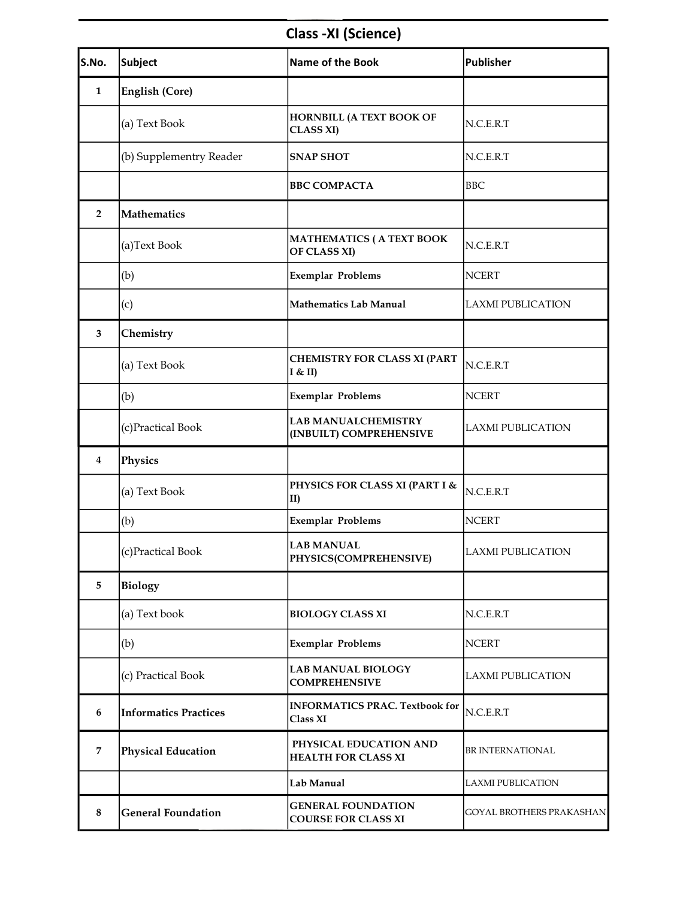# Class -XI (Science)

| S.No.          | Subject                      | Name of the Book                                        | <b>Publisher</b>                |
|----------------|------------------------------|---------------------------------------------------------|---------------------------------|
| $\mathbf{1}$   | English (Core)               |                                                         |                                 |
|                | (a) Text Book                | HORNBILL (A TEXT BOOK OF<br><b>CLASS XI)</b>            | N.C.E.R.T                       |
|                | (b) Supplementry Reader      | <b>SNAP SHOT</b>                                        | N.C.E.R.T                       |
|                |                              | <b>BBC COMPACTA</b>                                     | <b>BBC</b>                      |
| $\overline{2}$ | Mathematics                  |                                                         |                                 |
|                | (a)Text Book                 | <b>MATHEMATICS (A TEXT BOOK</b><br>OF CLASS XI)         | N.C.E.R.T                       |
|                | (b)                          | <b>Exemplar Problems</b>                                | <b>NCERT</b>                    |
|                | (c)                          | <b>Mathematics Lab Manual</b>                           | <b>LAXMI PUBLICATION</b>        |
| 3              | Chemistry                    |                                                         |                                 |
|                | (a) Text Book                | <b>CHEMISTRY FOR CLASS XI (PART</b><br>I & H            | N.C.E.R.T                       |
|                | (b)                          | <b>Exemplar Problems</b>                                | <b>NCERT</b>                    |
|                | (c)Practical Book            | <b>LAB MANUALCHEMISTRY</b><br>(INBUILT) COMPREHENSIVE   | <b>LAXMI PUBLICATION</b>        |
| 4              | Physics                      |                                                         |                                 |
|                | (a) Text Book                | PHYSICS FOR CLASS XI (PART I &<br>II)                   | N.C.E.R.T                       |
|                | (b)                          | <b>Exemplar Problems</b>                                | <b>NCERT</b>                    |
|                | (c)Practical Book            | <b>LAB MANUAL</b><br>PHYSICS(COMPREHENSIVE)             | LAXMI PUBLICATION               |
| 5              | <b>Biology</b>               |                                                         |                                 |
|                | (a) Text book                | <b>BIOLOGY CLASS XI</b>                                 | N.C.E.R.T                       |
|                | (b)                          | <b>Exemplar Problems</b>                                | <b>NCERT</b>                    |
|                | (c) Practical Book           | <b>LAB MANUAL BIOLOGY</b><br><b>COMPREHENSIVE</b>       | <b>LAXMI PUBLICATION</b>        |
| 6              | <b>Informatics Practices</b> | <b>INFORMATICS PRAC. Textbook for</b><br>Class XI       | N.C.E.R.T                       |
| 7              | <b>Physical Education</b>    | PHYSICAL EDUCATION AND<br><b>HEALTH FOR CLASS XI</b>    | BR INTERNATIONAL                |
|                |                              | Lab Manual                                              | LAXMI PUBLICATION               |
| $\bf 8$        | <b>General Foundation</b>    | <b>GENERAL FOUNDATION</b><br><b>COURSE FOR CLASS XI</b> | <b>GOYAL BROTHERS PRAKASHAN</b> |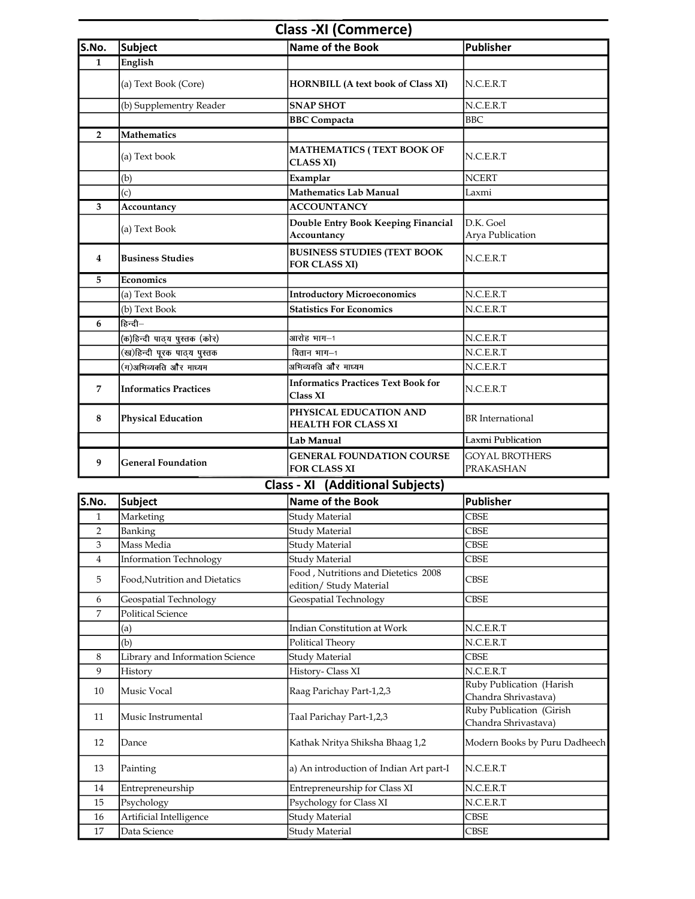## Class -XI (Commerce)

| S.No.          | <b>Subject</b>               | <b>Name of the Book</b>                                 | Publisher                                 |
|----------------|------------------------------|---------------------------------------------------------|-------------------------------------------|
| $\mathbf{1}$   | English                      |                                                         |                                           |
|                | (a) Text Book (Core)         | HORNBILL (A text book of Class XI)                      | N.C.E.R.T                                 |
|                | (b) Supplementry Reader      | <b>SNAP SHOT</b>                                        | N.C.E.R.T                                 |
|                |                              | <b>BBC</b> Compacta                                     | <b>BBC</b>                                |
| $\overline{2}$ | Mathematics                  |                                                         |                                           |
|                | (a) Text book                | MATHEMATICS (TEXT BOOK OF<br><b>CLASS XI)</b>           | N.C.E.R.T                                 |
|                | (b)                          | Examplar                                                | <b>NCERT</b>                              |
|                | (c)                          | <b>Mathematics Lab Manual</b>                           | Laxmi                                     |
| 3              | Accountancy                  | <b>ACCOUNTANCY</b>                                      |                                           |
|                | (a) Text Book                | Double Entry Book Keeping Financial<br>Accountancy      | $D.K.$ Goel<br>Arya Publication           |
| $\overline{4}$ | <b>Business Studies</b>      | <b>BUSINESS STUDIES (TEXT BOOK</b><br>FOR CLASS XI)     | N.C.E.R.T                                 |
| 5              | Economics                    |                                                         |                                           |
|                | (a) Text Book                | <b>Introductory Microeconomics</b>                      | N.C.E.R.T                                 |
|                | (b) Text Book                | <b>Statistics For Economics</b>                         | N.C.E.R.T                                 |
| 6              | $F_{\mathbf{F}}$ न्दी $-$    |                                                         |                                           |
|                | (क)हिन्दी पाठ्य पुस्तक (कोर) | आरोह भाग-1                                              | N.C.E.R.T                                 |
|                | (ख)हिन्दी पूरक पाठ्य पुस्तक  | $\overline{a}$ तान भाग $-1$                             | N.C.E.R.T                                 |
|                | (ग)अभिव्यक्ति और माध्यम      | अभिव्यक्ति और माध्यम                                    | N.C.E.R.T                                 |
| $\overline{7}$ | <b>Informatics Practices</b> | <b>Informatics Practices Text Book for</b><br>Class XI  | N.C.E.R.T                                 |
| 8              | <b>Physical Education</b>    | PHYSICAL EDUCATION AND<br><b>HEALTH FOR CLASS XI</b>    | <b>BR</b> International                   |
|                |                              | Lab Manual                                              | Laxmi Publication                         |
| 9              | <b>General Foundation</b>    | <b>GENERAL FOUNDATION COURSE</b><br><b>FOR CLASS XI</b> | <b>GOYAL BROTHERS</b><br><b>PRAKASHAN</b> |

#### Class - XI (Additional Subjects)

| S.No.          | <b>Subject</b>                  | <b>Name of the Book</b>                                        | <b>Publisher</b>                                 |
|----------------|---------------------------------|----------------------------------------------------------------|--------------------------------------------------|
| 1              | Marketing                       | Study Material                                                 | <b>CBSE</b>                                      |
| $\overline{2}$ | Banking                         | <b>Study Material</b>                                          | <b>CBSE</b>                                      |
| 3              | Mass Media                      | Study Material                                                 | <b>CBSE</b>                                      |
| 4              | Information Technology          | Study Material                                                 | <b>CBSE</b>                                      |
| 5              | Food, Nutrition and Dietatics   | Food, Nutritions and Dietetics 2008<br>edition/ Study Material | <b>CBSE</b>                                      |
| 6              | Geospatial Technology           | Geospatial Technology                                          | <b>CBSE</b>                                      |
| 7              | <b>Political Science</b>        |                                                                |                                                  |
|                | (a)                             | <b>Indian Constitution at Work</b>                             | N.C.E.R.T                                        |
|                | (b)                             | Political Theory                                               | N.C.E.R.T                                        |
| 8              | Library and Information Science | <b>Study Material</b>                                          | <b>CBSE</b>                                      |
| 9              | History                         | History-Class XI                                               | N.C.E.R.T                                        |
| 10             | Music Vocal                     | Raag Parichay Part-1,2,3                                       | Ruby Publication (Harish<br>Chandra Shrivastava) |
| 11             | Music Instrumental              | Taal Parichay Part-1,2,3                                       | Ruby Publication (Girish<br>Chandra Shrivastava) |
| 12             | Dance                           | Kathak Nritya Shiksha Bhaag 1,2                                | Modern Books by Puru Dadheech                    |
| 13             | Painting                        | a) An introduction of Indian Art part-I                        | N.C.E.R.T                                        |
| 14             | Entrepreneurship                | Entrepreneurship for Class XI                                  | N.C.E.R.T                                        |
| 15             | Psychology                      | Psychology for Class XI                                        | N.C.E.R.T                                        |
| 16             | Artificial Intelligence         | <b>Study Material</b>                                          | <b>CBSE</b>                                      |
| 17             | Data Science                    | Study Material                                                 | <b>CBSE</b>                                      |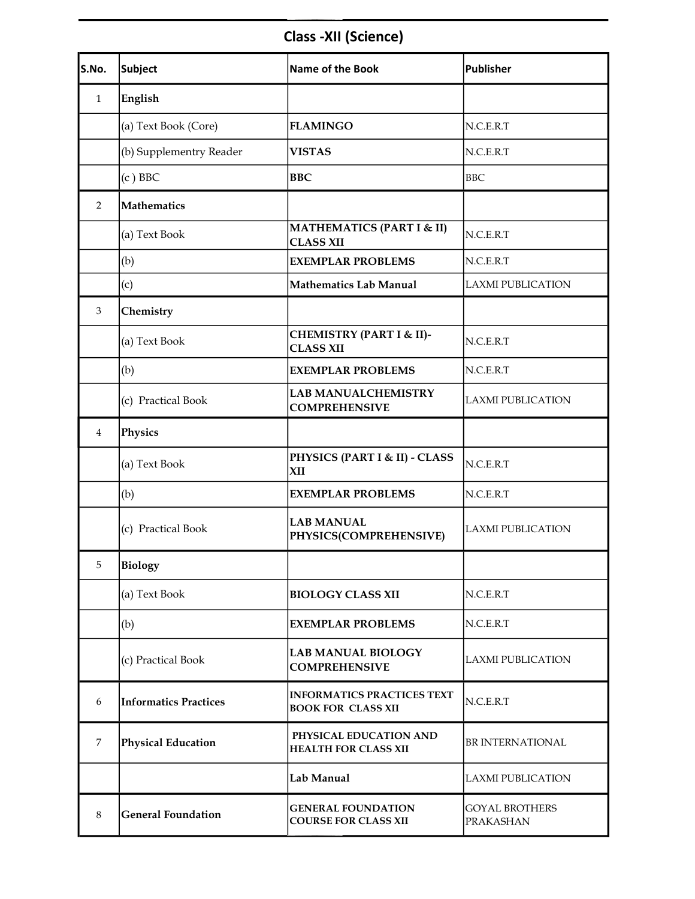# Class -XII (Science)

| S.No.          | Subject                      | <b>Name of the Book</b>                                        | Publisher                                 |
|----------------|------------------------------|----------------------------------------------------------------|-------------------------------------------|
| $\mathbf{1}$   | English                      |                                                                |                                           |
|                | (a) Text Book (Core)         | <b>FLAMINGO</b>                                                | N.C.E.R.T                                 |
|                | (b) Supplementry Reader      | <b>VISTAS</b>                                                  | N.C.E.R.T                                 |
|                | $(c)$ BBC                    | <b>BBC</b>                                                     | <b>BBC</b>                                |
| $\overline{2}$ | Mathematics                  |                                                                |                                           |
|                | (a) Text Book                | <b>MATHEMATICS (PART I &amp; II)</b><br><b>CLASS XII</b>       | N.C.E.R.T                                 |
|                | (b)                          | <b>EXEMPLAR PROBLEMS</b>                                       | N.C.E.R.T                                 |
|                | (c)                          | <b>Mathematics Lab Manual</b>                                  | <b>LAXMI PUBLICATION</b>                  |
| 3              | Chemistry                    |                                                                |                                           |
|                | (a) Text Book                | <b>CHEMISTRY (PART I &amp; II)-</b><br><b>CLASS XII</b>        | N.C.E.R.T                                 |
|                | (b)                          | <b>EXEMPLAR PROBLEMS</b>                                       | N.C.E.R.T                                 |
|                | (c) Practical Book           | <b>LAB MANUALCHEMISTRY</b><br><b>COMPREHENSIVE</b>             | <b>LAXMI PUBLICATION</b>                  |
| $\overline{4}$ | Physics                      |                                                                |                                           |
|                | (a) Text Book                | <b>PHYSICS (PART I &amp; II) - CLASS</b><br>XII                | N.C.E.R.T                                 |
|                | (b)                          | <b>EXEMPLAR PROBLEMS</b>                                       | N.C.E.R.T                                 |
|                | (c) Practical Book           | <b>LAB MANUAL</b><br>PHYSICS(COMPREHENSIVE)                    | <b>LAXMI PUBLICATION</b>                  |
| 5              | <b>Biology</b>               |                                                                |                                           |
|                | (a) Text Book                | <b>BIOLOGY CLASS XII</b>                                       | N.C.E.R.T                                 |
|                | (b)                          | <b>EXEMPLAR PROBLEMS</b>                                       | N.C.E.R.T                                 |
|                | (c) Practical Book           | <b>LAB MANUAL BIOLOGY</b><br><b>COMPREHENSIVE</b>              | <b>LAXMI PUBLICATION</b>                  |
| 6              | <b>Informatics Practices</b> | <b>INFORMATICS PRACTICES TEXT</b><br><b>BOOK FOR CLASS XII</b> | N.C.E.R.T                                 |
| 7              | <b>Physical Education</b>    | PHYSICAL EDUCATION AND<br><b>HEALTH FOR CLASS XII</b>          | <b>BRINTERNATIONAL</b>                    |
|                |                              | Lab Manual                                                     | <b>LAXMI PUBLICATION</b>                  |
| 8              | <b>General Foundation</b>    | <b>GENERAL FOUNDATION</b><br><b>COURSE FOR CLASS XII</b>       | <b>GOYAL BROTHERS</b><br><b>PRAKASHAN</b> |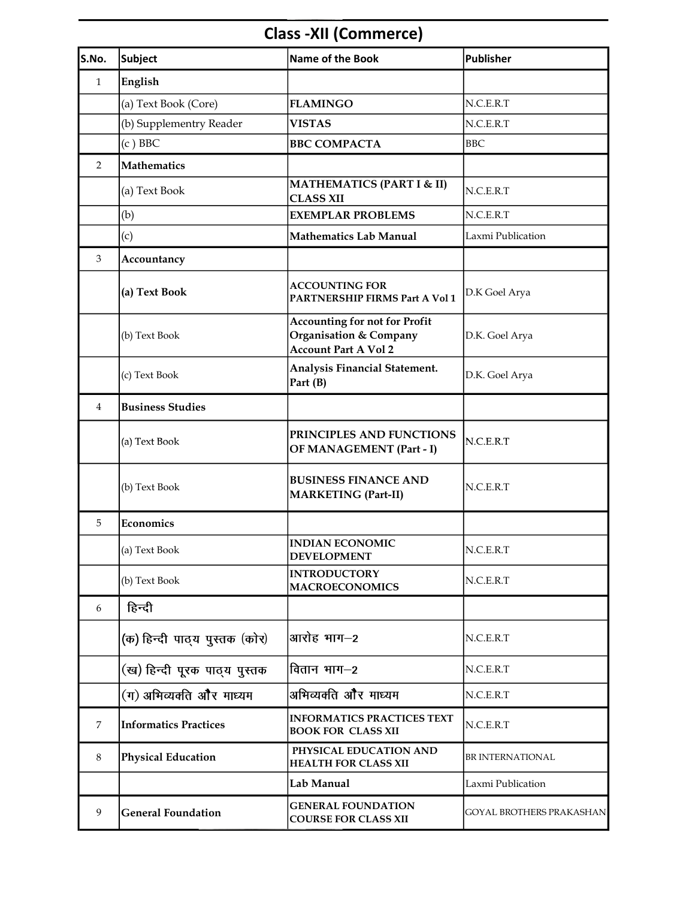# Class -XII (Commerce)

| S.No.        | Subject                       | Name of the Book                                                                                         | <b>Publisher</b>                |
|--------------|-------------------------------|----------------------------------------------------------------------------------------------------------|---------------------------------|
| $\mathbf{1}$ | English                       |                                                                                                          |                                 |
|              | (a) Text Book (Core)          | <b>FLAMINGO</b>                                                                                          | N.C.E.R.T                       |
|              | (b) Supplementry Reader       | <b>VISTAS</b>                                                                                            | N.C.E.R.T                       |
|              | $(c)$ BBC                     | <b>BBC COMPACTA</b>                                                                                      | BBC                             |
| 2            | <b>Mathematics</b>            |                                                                                                          |                                 |
|              | (a) Text Book                 | <b>MATHEMATICS (PART I &amp; II)</b><br><b>CLASS XII</b>                                                 | N.C.E.R.T                       |
|              | (b)                           | <b>EXEMPLAR PROBLEMS</b>                                                                                 | N.C.E.R.T                       |
|              | (c)                           | <b>Mathematics Lab Manual</b>                                                                            | Laxmi Publication               |
| 3            | Accountancy                   |                                                                                                          |                                 |
|              | (a) Text Book                 | <b>ACCOUNTING FOR</b><br>PARTNERSHIP FIRMS Part A Vol 1                                                  | D.K Goel Arya                   |
|              | (b) Text Book                 | <b>Accounting for not for Profit</b><br><b>Organisation &amp; Company</b><br><b>Account Part A Vol 2</b> | D.K. Goel Arya                  |
|              | (c) Text Book                 | Analysis Financial Statement.<br>Part (B)                                                                | D.K. Goel Arya                  |
| 4            | <b>Business Studies</b>       |                                                                                                          |                                 |
|              | (a) Text Book                 | PRINCIPLES AND FUNCTIONS<br><b>OF MANAGEMENT (Part - I)</b>                                              | N.C.E.R.T                       |
|              | (b) Text Book                 | <b>BUSINESS FINANCE AND</b><br><b>MARKETING (Part-II)</b>                                                | N.C.E.R.T                       |
| 5            | Economics                     |                                                                                                          |                                 |
|              | (a) Text Book                 | <b>INDIAN ECONOMIC</b><br><b>DEVELOPMENT</b>                                                             | N.C.E.R.T                       |
|              | (b) Text Book                 | <b>INTRODUCTORY</b><br><b>MACROECONOMICS</b>                                                             | N.C.E.R.T                       |
| 6            | हिन्दी                        |                                                                                                          |                                 |
|              | (क) हिन्दी पाठ्य पुस्तक (कोर) | आरोह भाग–2                                                                                               | N.C.E.R.T                       |
|              | (ख) हिन्दी पूरक पाठ्य पुस्तक  | वितान भाग—2                                                                                              | N.C.E.R.T                       |
|              | (ग) अभिव्यक्ति और माध्यम      | अभिव्यक्ति और माध्यम                                                                                     | N.C.E.R.T                       |
| 7            | Informatics Practices         | <b>INFORMATICS PRACTICES TEXT</b><br><b>BOOK FOR CLASS XII</b>                                           | N.C.E.R.T                       |
| 8            | <b>Physical Education</b>     | PHYSICAL EDUCATION AND<br><b>HEALTH FOR CLASS XII</b>                                                    | BR INTERNATIONAL                |
|              |                               | Lab Manual                                                                                               | Laxmi Publication               |
| 9            | <b>General Foundation</b>     | <b>GENERAL FOUNDATION</b><br><b>COURSE FOR CLASS XII</b>                                                 | <b>GOYAL BROTHERS PRAKASHAN</b> |